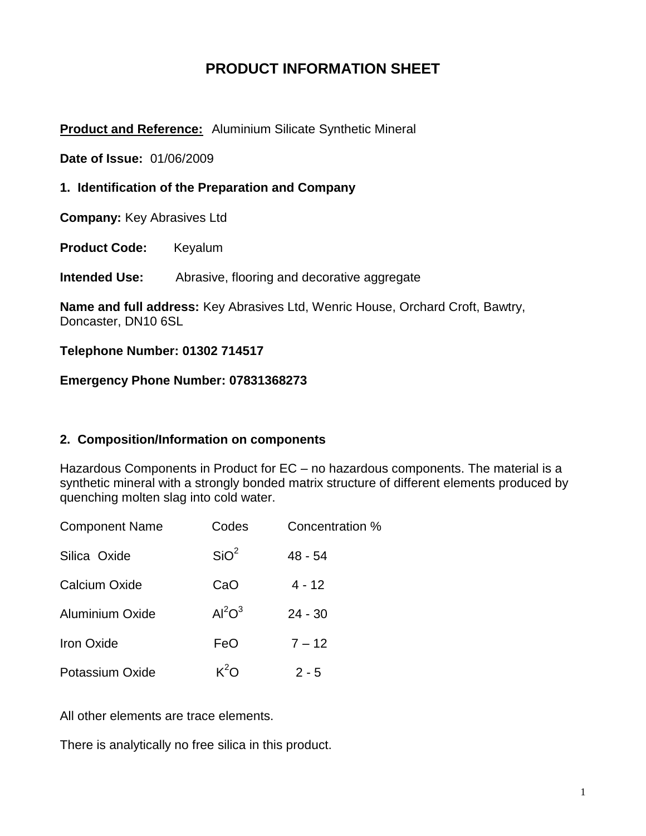# **PRODUCT INFORMATION SHEET**

### **Product and Reference:** Aluminium Silicate Synthetic Mineral

**Date of Issue:** 01/06/2009

### **1. Identification of the Preparation and Company**

**Company:** Key Abrasives Ltd

**Product Code:** Keyalum

**Intended Use:** Abrasive, flooring and decorative aggregate

**Name and full address:** Key Abrasives Ltd, Wenric House, Orchard Croft, Bawtry, Doncaster, DN10 6SL

#### **Telephone Number: 01302 714517**

#### **Emergency Phone Number: 07831368273**

### **2. Composition/Information on components**

Hazardous Components in Product for EC – no hazardous components. The material is a synthetic mineral with a strongly bonded matrix structure of different elements produced by quenching molten slag into cold water.

| <b>Component Name</b>  | Codes            | Concentration % |
|------------------------|------------------|-----------------|
| Silica Oxide           | SiO <sup>2</sup> | $48 - 54$       |
| Calcium Oxide          | CaO              | $4 - 12$        |
| <b>Aluminium Oxide</b> | $Al^2O^3$        | $24 - 30$       |
| <b>Iron Oxide</b>      | FeO              | $7 - 12$        |
| Potassium Oxide        | $K^2O$           | $2 - 5$         |

All other elements are trace elements.

There is analytically no free silica in this product.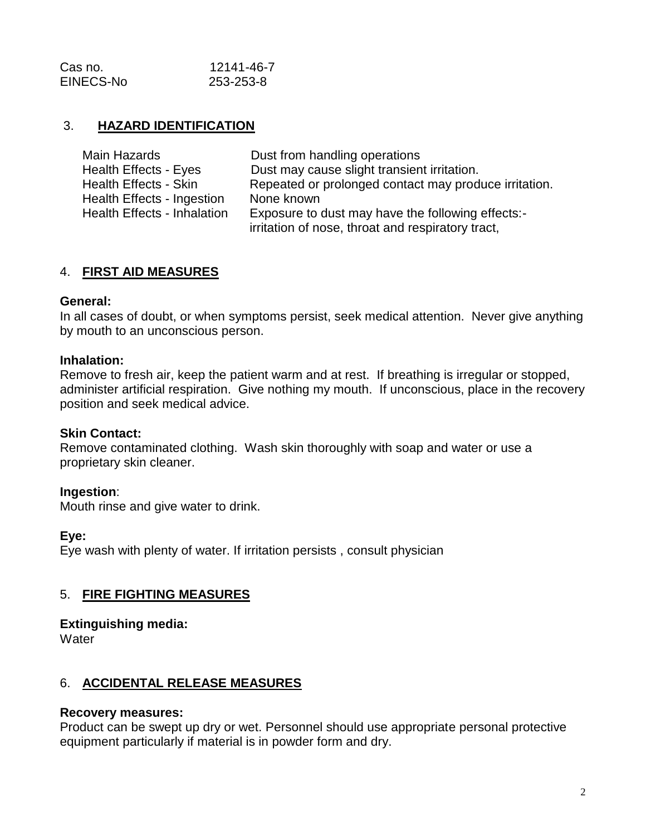| Cas no.   | 12141-46-7 |
|-----------|------------|
| EINECS-No | 253-253-8  |

## 3. **HAZARD IDENTIFICATION**

| Main Hazards                       | Dust from handling operations                         |
|------------------------------------|-------------------------------------------------------|
| Health Effects - Eyes              | Dust may cause slight transient irritation.           |
| Health Effects - Skin              | Repeated or prolonged contact may produce irritation. |
| Health Effects - Ingestion         | None known                                            |
| <b>Health Effects - Inhalation</b> | Exposure to dust may have the following effects:-     |
|                                    | irritation of nose, throat and respiratory tract,     |

### 4. **FIRST AID MEASURES**

#### **General:**

In all cases of doubt, or when symptoms persist, seek medical attention. Never give anything by mouth to an unconscious person.

#### **Inhalation:**

Remove to fresh air, keep the patient warm and at rest. If breathing is irregular or stopped, administer artificial respiration. Give nothing my mouth. If unconscious, place in the recovery position and seek medical advice.

#### **Skin Contact:**

Remove contaminated clothing. Wash skin thoroughly with soap and water or use a proprietary skin cleaner.

#### **Ingestion**:

Mouth rinse and give water to drink.

#### **Eye:**

Eye wash with plenty of water. If irritation persists , consult physician

### 5. **FIRE FIGHTING MEASURES**

# **Extinguishing media:**

**Water** 

### 6. **ACCIDENTAL RELEASE MEASURES**

#### **Recovery measures:**

Product can be swept up dry or wet. Personnel should use appropriate personal protective equipment particularly if material is in powder form and dry.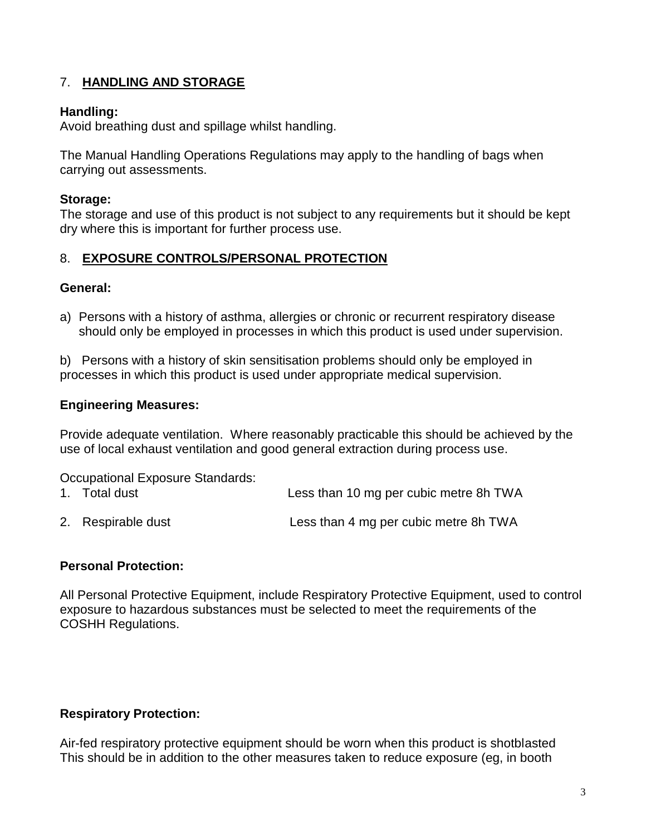# 7. **HANDLING AND STORAGE**

## **Handling:**

Avoid breathing dust and spillage whilst handling.

The Manual Handling Operations Regulations may apply to the handling of bags when carrying out assessments.

## **Storage:**

The storage and use of this product is not subject to any requirements but it should be kept dry where this is important for further process use.

## 8. **EXPOSURE CONTROLS/PERSONAL PROTECTION**

### **General:**

a) Persons with a history of asthma, allergies or chronic or recurrent respiratory disease should only be employed in processes in which this product is used under supervision.

b) Persons with a history of skin sensitisation problems should only be employed in processes in which this product is used under appropriate medical supervision.

### **Engineering Measures:**

Provide adequate ventilation. Where reasonably practicable this should be achieved by the use of local exhaust ventilation and good general extraction during process use.

Occupational Exposure Standards:

- 1. Total dust Less than 10 mg per cubic metre 8h TWA
- 2. Respirable dust Less than 4 mg per cubic metre 8h TWA

### **Personal Protection:**

All Personal Protective Equipment, include Respiratory Protective Equipment, used to control exposure to hazardous substances must be selected to meet the requirements of the COSHH Regulations.

### **Respiratory Protection:**

Air-fed respiratory protective equipment should be worn when this product is shotblasted This should be in addition to the other measures taken to reduce exposure (eg, in booth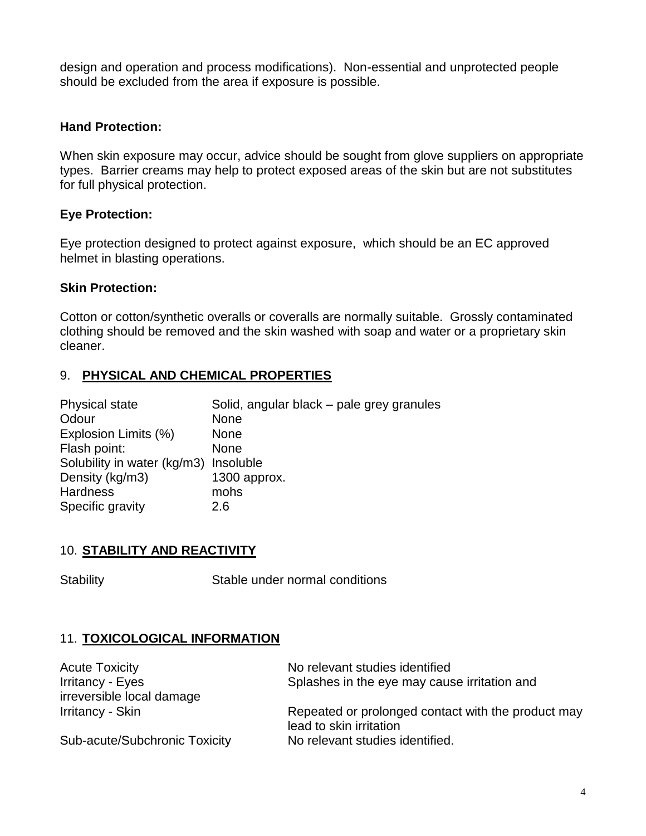design and operation and process modifications). Non-essential and unprotected people should be excluded from the area if exposure is possible.

## **Hand Protection:**

When skin exposure may occur, advice should be sought from glove suppliers on appropriate types. Barrier creams may help to protect exposed areas of the skin but are not substitutes for full physical protection.

## **Eye Protection:**

Eye protection designed to protect against exposure, which should be an EC approved helmet in blasting operations.

### **Skin Protection:**

Cotton or cotton/synthetic overalls or coveralls are normally suitable. Grossly contaminated clothing should be removed and the skin washed with soap and water or a proprietary skin cleaner.

# 9. **PHYSICAL AND CHEMICAL PROPERTIES**

| <b>Physical state</b>                 | Solid, angular black - pale grey granules |
|---------------------------------------|-------------------------------------------|
| Odour                                 | <b>None</b>                               |
| Explosion Limits (%)                  | <b>None</b>                               |
| Flash point:                          | <b>None</b>                               |
| Solubility in water (kg/m3) Insoluble |                                           |
| Density (kg/m3)                       | 1300 approx.                              |
| <b>Hardness</b>                       | mohs                                      |
| Specific gravity                      | 2.6                                       |

### 10. **STABILITY AND REACTIVITY**

Stability Stable under normal conditions

# 11. **TOXICOLOGICAL INFORMATION**

| <b>Acute Toxicity</b>         | No relevant studies identified                     |
|-------------------------------|----------------------------------------------------|
| Irritancy - Eyes              | Splashes in the eye may cause irritation and       |
| irreversible local damage     |                                                    |
| Irritancy - Skin              | Repeated or prolonged contact with the product may |
|                               | lead to skin irritation                            |
| Sub-acute/Subchronic Toxicity | No relevant studies identified.                    |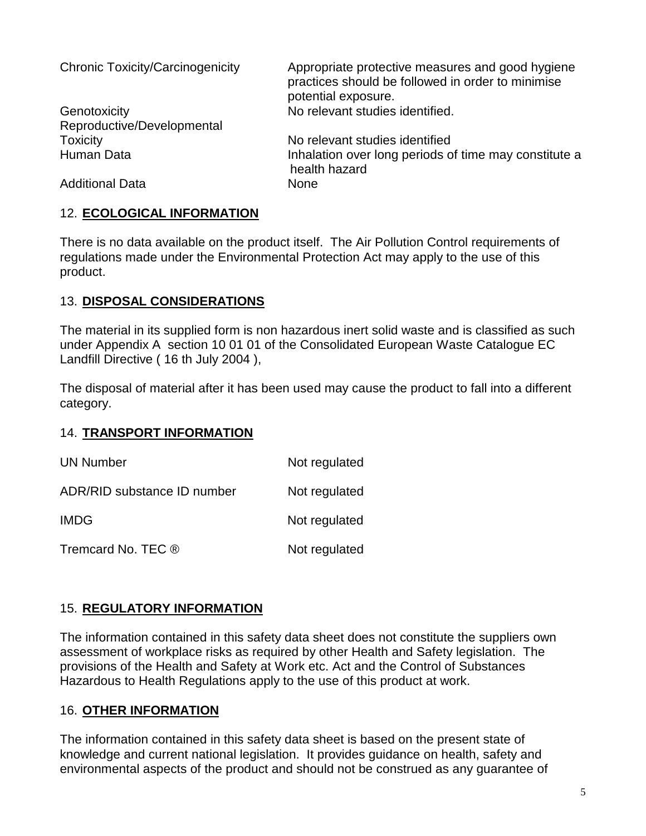| <b>Chronic Toxicity/Carcinogenicity</b>    | Appropriate protective measures and good hygiene<br>practices should be followed in order to minimise<br>potential exposure. |
|--------------------------------------------|------------------------------------------------------------------------------------------------------------------------------|
| Genotoxicity<br>Reproductive/Developmental | No relevant studies identified.                                                                                              |
| <b>Toxicity</b>                            | No relevant studies identified                                                                                               |
| Human Data                                 | Inhalation over long periods of time may constitute a<br>health hazard                                                       |
| <b>Additional Data</b>                     | <b>None</b>                                                                                                                  |

## 12. **ECOLOGICAL INFORMATION**

There is no data available on the product itself. The Air Pollution Control requirements of regulations made under the Environmental Protection Act may apply to the use of this product.

### 13. **DISPOSAL CONSIDERATIONS**

The material in its supplied form is non hazardous inert solid waste and is classified as such under Appendix A section 10 01 01 of the Consolidated European Waste Catalogue EC Landfill Directive ( 16 th July 2004 ),

The disposal of material after it has been used may cause the product to fall into a different category.

### 14. **TRANSPORT INFORMATION**

| <b>UN Number</b>            | Not regulated |
|-----------------------------|---------------|
| ADR/RID substance ID number | Not regulated |
| <b>IMDG</b>                 | Not regulated |
| Tremcard No. TEC ®          | Not regulated |

# 15. **REGULATORY INFORMATION**

The information contained in this safety data sheet does not constitute the suppliers own assessment of workplace risks as required by other Health and Safety legislation. The provisions of the Health and Safety at Work etc. Act and the Control of Substances Hazardous to Health Regulations apply to the use of this product at work.

# 16. **OTHER INFORMATION**

The information contained in this safety data sheet is based on the present state of knowledge and current national legislation. It provides guidance on health, safety and environmental aspects of the product and should not be construed as any guarantee of